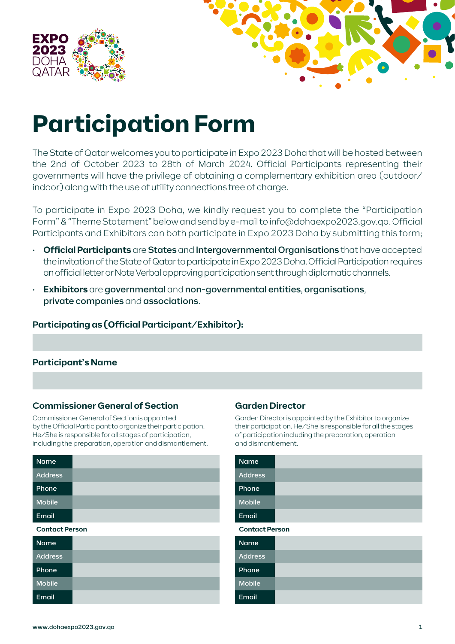



# **Participation Form**

The State of Qatar welcomes you to participate in Expo 2023 Doha that will be hosted between the 2nd of October 2023 to 28th of March 2024. Official Participants representing their governments will have the privilege of obtaining a complementary exhibition area (outdoor/ indoor) along with the use of utility connections free of charge.

To participate in Expo 2023 Doha, we kindly request you to complete the "Participation Form" & "Theme Statement" below and send by e-mail to info@dohaexpo2023.gov.qa. Official Participants and Exhibitors can both participate in Expo 2023 Doha by submitting this form;

- **Official Participants** are States and Intergovernmental Organisations that have accepted the invitation of the State of Qatar to participate in Expo 2023 Doha. Official Participation requires an official letter or Note Verbal approving participation sent through diplomatic channels.
- **Exhibitors** are governmental and non-governmental entities, organisations, private companies and associations.

### **Participating as (Official Participant/Exhibitor):**

### **Participant's Name**

### **Commissioner General of Section**

Commissioner General of Section is appointed by the Official Participant to organize their participation. He/She is responsible for all stages of participation, including the preparation, operation and dismantlement.

| <b>Name</b>           |  |  |  |  |
|-----------------------|--|--|--|--|
| <b>Address</b>        |  |  |  |  |
| Phone                 |  |  |  |  |
| <b>Mobile</b>         |  |  |  |  |
| Email                 |  |  |  |  |
| <b>Contact Person</b> |  |  |  |  |
| <b>Name</b>           |  |  |  |  |
| <b>Address</b>        |  |  |  |  |
|                       |  |  |  |  |

### **Garden Director**

Garden Director is appointed by the Exhibitor to organize their participation. He/She is responsible for all the stages of participation including the preparation, operation and dismantlement.

| <b>Name</b>           |  |  |  |  |
|-----------------------|--|--|--|--|
| <b>Address</b>        |  |  |  |  |
| Phone                 |  |  |  |  |
| <b>Mobile</b>         |  |  |  |  |
| Email                 |  |  |  |  |
| <b>Contact Person</b> |  |  |  |  |
| Name                  |  |  |  |  |
| <b>Address</b>        |  |  |  |  |
| Phone                 |  |  |  |  |
| <b>Mobile</b>         |  |  |  |  |
| Email                 |  |  |  |  |

Phone Mobile Email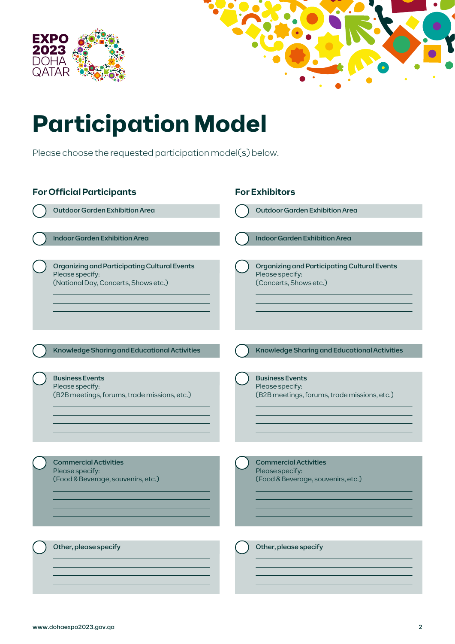



# **Participation Model**

Please choose the requested participation model(s) below.

| <b>For Official Participants</b> |                                                                                                         |  | <b>For Exhibitors</b>                                                                     |  |  |
|----------------------------------|---------------------------------------------------------------------------------------------------------|--|-------------------------------------------------------------------------------------------|--|--|
|                                  | Outdoor Garden Exhibition Area                                                                          |  | Outdoor Garden Exhibition Area                                                            |  |  |
|                                  | <b>Indoor Garden Exhibition Area</b>                                                                    |  | <b>Indoor Garden Exhibition Area</b>                                                      |  |  |
|                                  | Organizing and Participating Cultural Events<br>Please specify:<br>(National Day, Concerts, Shows etc.) |  | Organizing and Participating Cultural Events<br>Please specify:<br>(Concerts, Shows etc.) |  |  |
|                                  | Knowledge Sharing and Educational Activities                                                            |  | Knowledge Sharing and Educational Activities                                              |  |  |
|                                  | <b>Business Events</b><br>Please specify:<br>(B2B meetings, forums, trade missions, etc.)               |  | <b>Business Events</b><br>Please specify:<br>(B2B meetings, forums, trade missions, etc.) |  |  |
|                                  | <b>Commercial Activities</b><br>Please specify:<br>(Food & Beverage, souvenirs, etc.)                   |  | <b>Commercial Activities</b><br>Please specify:<br>(Food & Beverage, souvenirs, etc.)     |  |  |
|                                  | Other, please specify                                                                                   |  | Other, please specify                                                                     |  |  |

l

l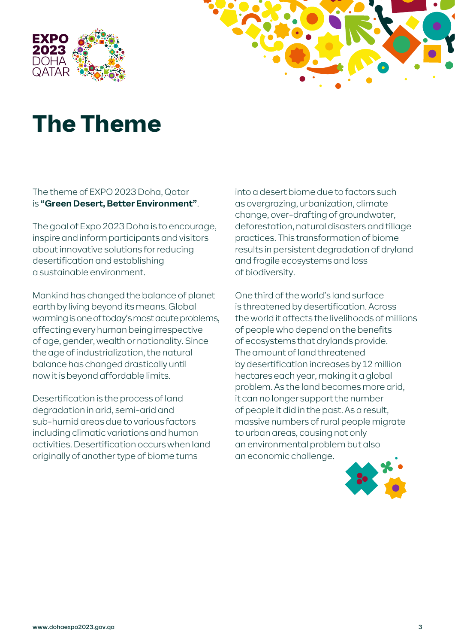



## **The Theme**

### The theme of EXPO 2023 Doha, Qatar is **"Green Desert, Better Environment"**.

The goal of Expo 2023 Doha is to encourage, inspire and inform participants and visitors about innovative solutions for reducing desertification and establishing a sustainable environment.

Mankind has changed the balance of planet earth by living beyond its means. Global warming is one of today's most acute problems, affecting every human being irrespective of age, gender, wealth or nationality. Since the age of industrialization, the natural balance has changed drastically until now it is beyond affordable limits.

Desertification is the process of land degradation in arid, semi-arid and sub-humid areas due to various factors including climatic variations and human activities. Desertification occurs when land originally of another type of biome turns

into a desert biome due to factors such as overgrazing, urbanization, climate change, over-drafting of groundwater, deforestation, natural disasters and tillage practices. This transformation of biome results in persistent degradation of dryland and fragile ecosystems and loss of biodiversity.

One third of the world's land surface is threatened by desertification. Across the world it affects the livelihoods of millions of people who depend on the benefits of ecosystems that drylands provide. The amount of land threatened by desertification increases by 12 million hectares each year, making it a global problem. As the land becomes more arid, it can no longer support the number of people it did in the past. As a result, massive numbers of rural people migrate to urban areas, causing not only an environmental problem but also an economic challenge.

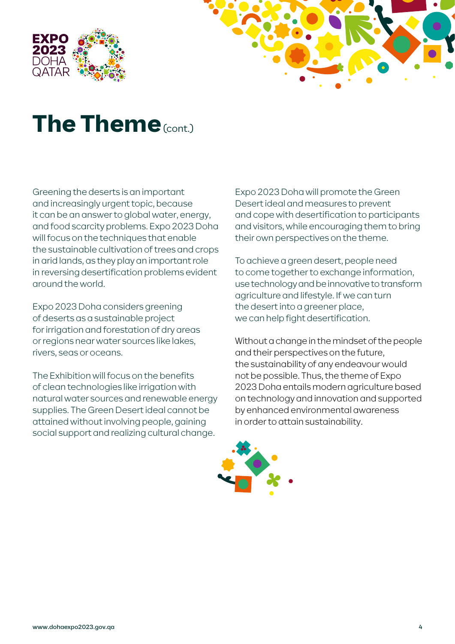



### **The Theme** (cont.)

Greening the deserts is an important and increasingly urgent topic, because it can be an answer to global water, energy, and food scarcity problems. Expo 2023 Doha will focus on the techniques that enable the sustainable cultivation of trees and crops in arid lands, as they play an important role in reversing desertification problems evident around the world.

Expo 2023 Doha considers greening of deserts as a sustainable project for irrigation and forestation of dry areas or regions near water sources like lakes, rivers, seas or oceans.

The Exhibition will focus on the benefits of clean technologies like irrigation with natural water sources and renewable energy supplies. The Green Desert ideal cannot be attained without involving people, gaining social support and realizing cultural change.

Expo 2023 Doha will promote the Green Desert ideal and measures to prevent and cope with desertification to participants and visitors, while encouraging them to bring their own perspectives on the theme.

To achieve a green desert, people need to come together to exchange information, use technology and be innovative to transform agriculture and lifestyle. If we can turn the desert into a greener place. we can help fight desertification.

Without a change in the mindset of the people and their perspectives on the future, the sustainability of any endeavour would not be possible. Thus, the theme of Expo 2023 Doha entails modern agriculture based on technology and innovation and supported by enhanced environmental awareness in order to attain sustainability.

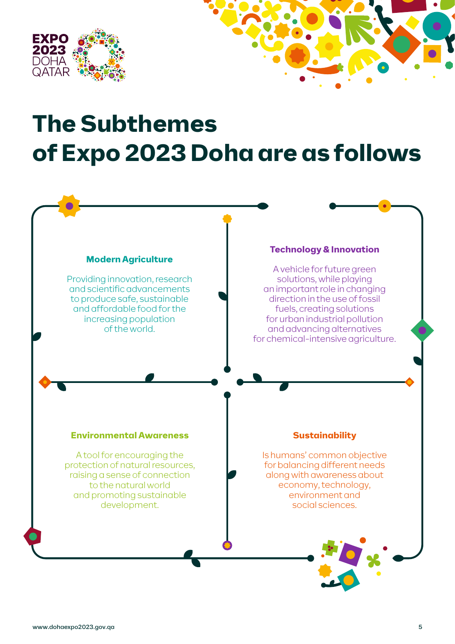

## **The Subthemes of Expo 2023 Doha are as follows**

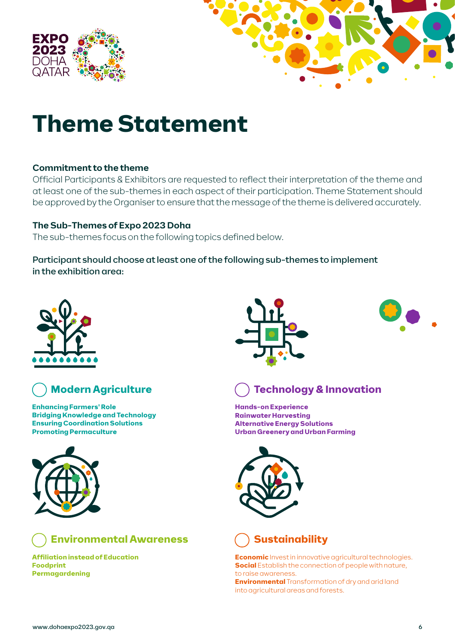



## **Theme Statement**

### **Commitment to the theme**

Official Participants & Exhibitors are requested to reflect their interpretation of the theme and at least one of the sub-themes in each aspect of their participation. Theme Statement should be approved by the Organiser to ensure that the message of the theme is delivered accurately.

### **The Sub-Themes of Expo 2023 Doha**

The sub-themes focus on the following topics defined below.

Participant should choose at least one of the following sub-themes to implement in the exhibition area:





### **Modern Agriculture**

**Enhancing Farmers' Role Bridging Knowledge and Technology Ensuring Coordination Solutions Promoting Permaculture**





**Affiliation instead of Education Foodprint Permagardening**







**Hands-on Experience Rainwater Harvesting Alternative Energy Solutions Urban Greenery and Urban Farming**





**Economic** Invest in innovative agricultural technologies. **Social** Establish the connection of people with nature, to raise awareness.

**Environmental** Transformation of dry and arid land into agricultural areas and forests.